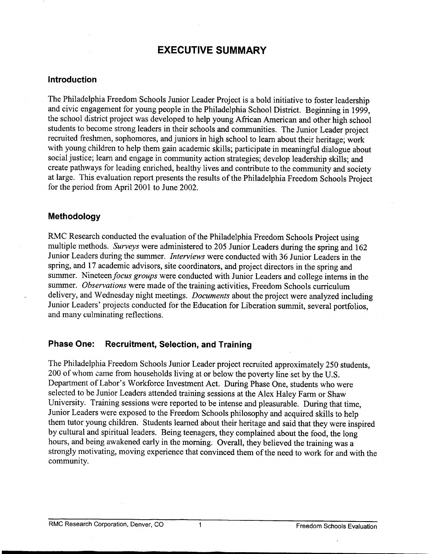# **EXECUTIVE SUMMARY**

#### **Introduction**

The Philadelphia Freedom Schools Junior Leader Project is a bold initiative to foster leadership and civic engagement for young people in the Philadelphia School District. Beginning in 1999, the school district project was developed to help young African American and other high school students to become strong leaders in their schools and communities. The Junior Leader project recruited freshmen, sophomores, and juniors in high school to learn about their heritage; work with young children to help them gain academic skills; participate in meaningful dialogue about social justice; learn and engage in community action strategies; develop leadership skills; and create pathways for leading enriched, healthy lives and contribute to the community and society at large. This evaluation report presents the results of the Philadelphia Freedom Schools Project for the period from April2001 to June 2002.

### **Methodology**

RMC Research conducted the evaluation of the Philadelphia Freedom Schools Project using multiple methods. *Surveys* were administered to 205 Junior Leaders during the spring and 162 Junior Leaders during the summer. *Interviews* were conducted with 36 Junior Leaders in the spring, and 17 academic advisors, site coordinators, and project directors in the spring and summer. Nineteen focus groups were conducted with Junior Leaders and college interns in the summer. *Observations* were made of the training activities, Freedom Schools curriculum delivery, and Wednesday night meetings. *Documents* about the project were analyzed including Junior Leaders' projects conducted for the Education for Liberation summit, several portfolios, and many culminating reflections.

### **Phase One: Recruitment, Selection, and Training**

The Philadelphia Freedom Schools Junior Leader project recruited approximately 250 students, 200 of whom came from households living at or below the poverty line set by the U.S. Department of Labor's Workforce Investment Act. During Phase One, students who were selected to be Junior Leaders attended training sessions at the Alex Haley Farm or Shaw University. Training sessions were reported to be intense and pleasurable. During that time, Junior Leaders were exposed to the Freedom Schools philosophy and acquired skills to help them tutor young children. Students learned about their heritage and said that they were inspired by cultural and spiritual leaders. Being teenagers, they complained about the food, the long hours, and being awakened early in the morning. Overall, they believed the training was a strongly motivating, moving experience that convinced them of the need to work for and with the community.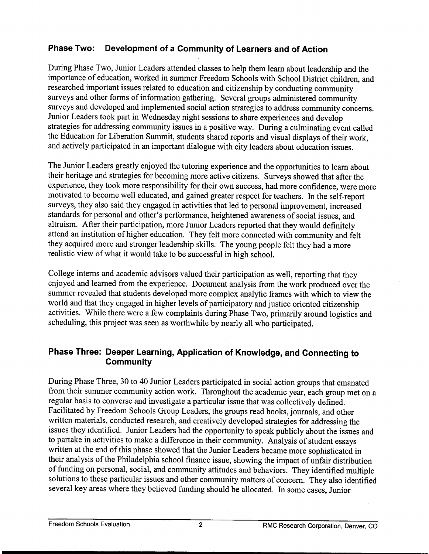## **Phase Two: Development of a Community of Learners and of Action**

During Phase Two, Junior Leaders attended classes to help them learn about leadership and the importance of education, worked in summer Freedom Schools with School District children, and researched important issues related to education and citizenship by conducting community surveys and other forms of information gathering. Several groups administered community surveys and developed and implemented social action strategies to address community concerns. Junior Leaders took part in Wednesday night sessions to share experiences and develop strategies for addressing community issues in a positive way. During a culminating event called the Education for Liberation Summit, students shared reports and visual displays of their work, and actively participated in an important dialogue with city leaders about education issues.

The Junior Leaders greatly enjoyed the tutoring experience and the opportunities to learn about their heritage and strategies for becoming more active citizens. Surveys showed that after the experience, they took more responsibility for their own success, had more confidence, were more motivated to become well educated, and gained greater respect for teachers. In the self-report surveys, they also said they engaged in activities that led to personal improvement, increased standards for personal and other's performance, heightened awareness of social issues, and altruism. After their participation, more Junior Leaders reported that they would definitely attend an institution of higher education. They felt more connected with community and felt they acquired more and stronger leadership skills. The young people felt they had a more realistic view of what it would take to be successful in high school.

College interns and academic advisors valued their participation as well, reporting that they enjoyed and learned from the experience. Document analysis from the work produced over the summer revealed that students developed more complex analytic frames with which to view the world and that they engaged in higher levels of participatory and justice oriented citizenship activities. While there were a few complaints during Phase Two, primarily around logistics and scheduling, this project was seen as Worthwhile by nearly all who participated.

### **Phase Three: Deeper Learning, Application of Knowledge, and Connecting to Community**

During Phase Three, 30 to 40 Junior Leaders participated in social action groups that emanated from their summer community action work. Throughout the academic year, each group met on a regular basis to converse and investigate a particular issue that was collectively defined. Facilitated by Freedom Schools Group Leaders, the groups read books, journals, and other written materials, conducted research, and creatively developed strategies for addressing the issues they identified. Junior Leaders had the opportunity to speak publicly about the issues and to partake in activities to make a difference in their community. Analysis of student essays written at the end of this phase showed that the Junior Leaders became more sophisticated in their analysis of the Philadelphia school finance issue, showing the impact of unfair distribution of funding on personal, social, and community attitudes and behaviors. They identified multiple solutions to these particular issues and other community matters of concern. They also identified several key areas where they believed funding should be allocated. In some cases, Junior